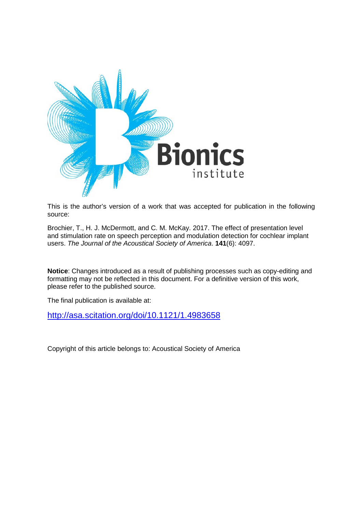

This is the author's version of a work that was accepted for publication in the following source:

Brochier, T., H. J. McDermott, and C. M. McKay. 2017. The effect of presentation level and stimulation rate on speech perception and modulation detection for cochlear implant users. *The Journal of the Acoustical Society of America*. **141**(6): 4097.

**Notice**: Changes introduced as a result of publishing processes such as copy-editing and formatting may not be reflected in this document. For a definitive version of this work, please refer to the published source.

The final publication is available at:

<http://asa.scitation.org/doi/10.1121/1.4983658>

Copyright of this article belongs to: Acoustical Society of America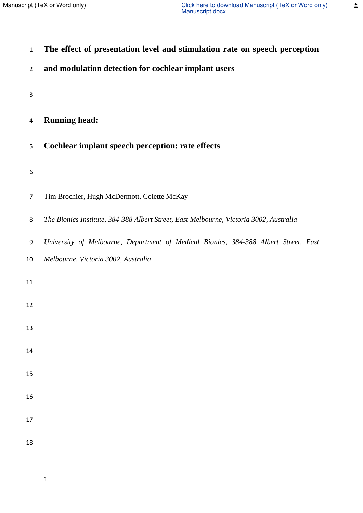$\triangleq$ 

| $\mathbf 1$               | The effect of presentation level and stimulation rate on speech perception             |
|---------------------------|----------------------------------------------------------------------------------------|
| $\overline{2}$            | and modulation detection for cochlear implant users                                    |
| $\ensuremath{\mathsf{3}}$ |                                                                                        |
| 4                         | <b>Running head:</b>                                                                   |
| 5                         | Cochlear implant speech perception: rate effects                                       |
| 6                         |                                                                                        |
| $\overline{7}$            | Tim Brochier, Hugh McDermott, Colette McKay                                            |
| 8                         | The Bionics Institute, 384-388 Albert Street, East Melbourne, Victoria 3002, Australia |
| 9                         | University of Melbourne, Department of Medical Bionics, 384-388 Albert Street, East    |
| 10                        | Melbourne, Victoria 3002, Australia                                                    |
| $11\,$                    |                                                                                        |
| 12                        |                                                                                        |
| 13                        |                                                                                        |
| $14\,$                    |                                                                                        |
| 15                        |                                                                                        |
| 16                        |                                                                                        |
| $17\,$                    |                                                                                        |
| 18                        |                                                                                        |
|                           |                                                                                        |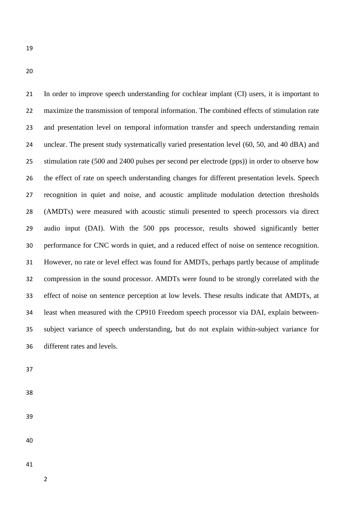In order to improve speech understanding for cochlear implant (CI) users, it is important to maximize the transmission of temporal information. The combined effects of stimulation rate and presentation level on temporal information transfer and speech understanding remain unclear. The present study systematically varied presentation level (60, 50, and 40 dBA) and stimulation rate (500 and 2400 pulses per second per electrode (pps)) in order to observe how the effect of rate on speech understanding changes for different presentation levels. Speech recognition in quiet and noise, and acoustic amplitude modulation detection thresholds (AMDTs) were measured with acoustic stimuli presented to speech processors via direct audio input (DAI). With the 500 pps processor, results showed significantly better performance for CNC words in quiet, and a reduced effect of noise on sentence recognition. However, no rate or level effect was found for AMDTs, perhaps partly because of amplitude compression in the sound processor. AMDTs were found to be strongly correlated with the effect of noise on sentence perception at low levels. These results indicate that AMDTs, at least when measured with the CP910 Freedom speech processor via DAI, explain between- subject variance of speech understanding, but do not explain within-subject variance for different rates and levels.

- 
- 
-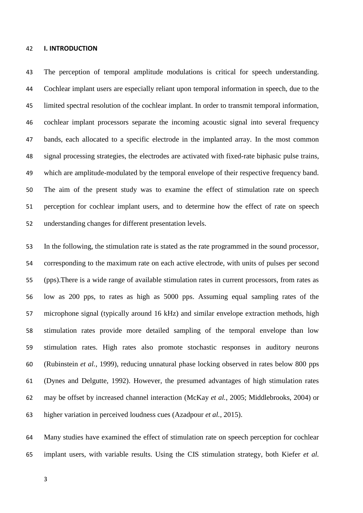## **I. INTRODUCTION**

 The perception of temporal amplitude modulations is critical for speech understanding. Cochlear implant users are especially reliant upon temporal information in speech, due to the limited spectral resolution of the cochlear implant. In order to transmit temporal information, cochlear implant processors separate the incoming acoustic signal into several frequency bands, each allocated to a specific electrode in the implanted array. In the most common signal processing strategies, the electrodes are activated with fixed-rate biphasic pulse trains, which are amplitude-modulated by the temporal envelope of their respective frequency band. The aim of the present study was to examine the effect of stimulation rate on speech perception for cochlear implant users, and to determine how the effect of rate on speech understanding changes for different presentation levels.

 In the following, the stimulation rate is stated as the rate programmed in the sound processor, corresponding to the maximum rate on each active electrode, with units of pulses per second (pps).There is a wide range of available stimulation rates in current processors, from rates as low as 200 pps, to rates as high as 5000 pps. Assuming equal sampling rates of the microphone signal (typically around 16 kHz) and similar envelope extraction methods, high stimulation rates provide more detailed sampling of the temporal envelope than low stimulation rates. High rates also promote stochastic responses in auditory neurons (Rubinstein *et al.*, 1999), reducing unnatural phase locking observed in rates below 800 pps (Dynes and Delgutte, 1992). However, the presumed advantages of high stimulation rates may be offset by increased channel interaction (McKay *et al.*, 2005; Middlebrooks, 2004) or higher variation in perceived loudness cues (Azadpour *et al.*, 2015).

 Many studies have examined the effect of stimulation rate on speech perception for cochlear implant users, with variable results. Using the CIS stimulation strategy, both Kiefer *et al.*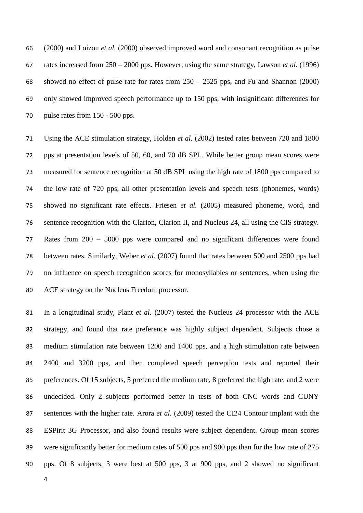(2000) and Loizou *et al.* (2000) observed improved word and consonant recognition as pulse rates increased from 250 – 2000 pps. However, using the same strategy, Lawson *et al.* (1996) 68 showed no effect of pulse rate for rates from  $250 - 2525$  pps, and Fu and Shannon (2000) only showed improved speech performance up to 150 pps, with insignificant differences for pulse rates from 150 - 500 pps.

 Using the ACE stimulation strategy, Holden *et al.* (2002) tested rates between 720 and 1800 pps at presentation levels of 50, 60, and 70 dB SPL. While better group mean scores were measured for sentence recognition at 50 dB SPL using the high rate of 1800 pps compared to the low rate of 720 pps, all other presentation levels and speech tests (phonemes, words) showed no significant rate effects. Friesen *et al.* (2005) measured phoneme, word, and sentence recognition with the Clarion, Clarion II, and Nucleus 24, all using the CIS strategy. Rates from 200 – 5000 pps were compared and no significant differences were found between rates. Similarly, Weber *et al.* (2007) found that rates between 500 and 2500 pps had no influence on speech recognition scores for monosyllables or sentences, when using the ACE strategy on the Nucleus Freedom processor.

 In a longitudinal study, Plant *et al.* (2007) tested the Nucleus 24 processor with the ACE strategy, and found that rate preference was highly subject dependent. Subjects chose a medium stimulation rate between 1200 and 1400 pps, and a high stimulation rate between 2400 and 3200 pps, and then completed speech perception tests and reported their preferences. Of 15 subjects, 5 preferred the medium rate, 8 preferred the high rate, and 2 were undecided. Only 2 subjects performed better in tests of both CNC words and CUNY sentences with the higher rate. Arora *et al.* (2009) tested the CI24 Contour implant with the ESPirit 3G Processor, and also found results were subject dependent. Group mean scores were significantly better for medium rates of 500 pps and 900 pps than for the low rate of 275 pps. Of 8 subjects, 3 were best at 500 pps, 3 at 900 pps, and 2 showed no significant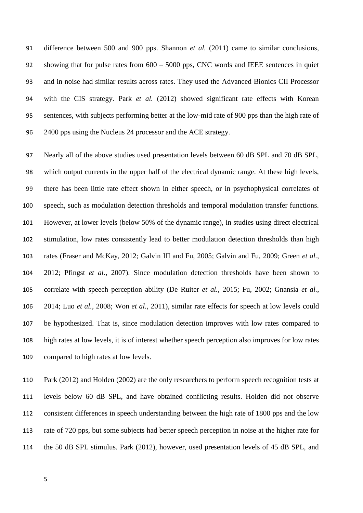difference between 500 and 900 pps. Shannon *et al.* (2011) came to similar conclusions, showing that for pulse rates from 600 – 5000 pps, CNC words and IEEE sentences in quiet and in noise had similar results across rates. They used the Advanced Bionics CII Processor with the CIS strategy. Park *et al.* (2012) showed significant rate effects with Korean sentences, with subjects performing better at the low-mid rate of 900 pps than the high rate of 2400 pps using the Nucleus 24 processor and the ACE strategy.

 Nearly all of the above studies used presentation levels between 60 dB SPL and 70 dB SPL, which output currents in the upper half of the electrical dynamic range. At these high levels, there has been little rate effect shown in either speech, or in psychophysical correlates of speech, such as modulation detection thresholds and temporal modulation transfer functions. However, at lower levels (below 50% of the dynamic range), in studies using direct electrical stimulation, low rates consistently lead to better modulation detection thresholds than high rates (Fraser and McKay, 2012; Galvin III and Fu, 2005; Galvin and Fu, 2009; Green *et al.*, 2012; Pfingst *et al.*, 2007). Since modulation detection thresholds have been shown to correlate with speech perception ability (De Ruiter *et al.*, 2015; Fu, 2002; Gnansia *et al.*, 2014; Luo *et al.*, 2008; Won *et al.*, 2011), similar rate effects for speech at low levels could be hypothesized. That is, since modulation detection improves with low rates compared to high rates at low levels, it is of interest whether speech perception also improves for low rates compared to high rates at low levels.

 Park (2012) and Holden (2002) are the only researchers to perform speech recognition tests at levels below 60 dB SPL, and have obtained conflicting results. Holden did not observe consistent differences in speech understanding between the high rate of 1800 pps and the low rate of 720 pps, but some subjects had better speech perception in noise at the higher rate for the 50 dB SPL stimulus. Park (2012), however, used presentation levels of 45 dB SPL, and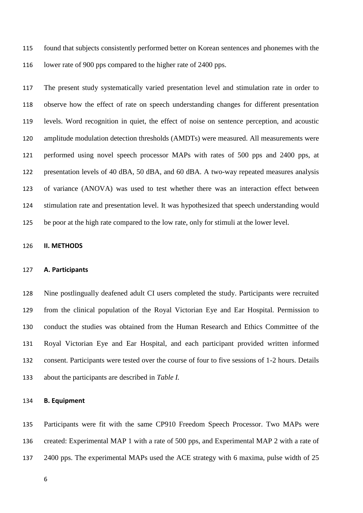found that subjects consistently performed better on Korean sentences and phonemes with the lower rate of 900 pps compared to the higher rate of 2400 pps.

 The present study systematically varied presentation level and stimulation rate in order to observe how the effect of rate on speech understanding changes for different presentation levels. Word recognition in quiet, the effect of noise on sentence perception, and acoustic amplitude modulation detection thresholds (AMDTs) were measured. All measurements were performed using novel speech processor MAPs with rates of 500 pps and 2400 pps, at presentation levels of 40 dBA, 50 dBA, and 60 dBA. A two-way repeated measures analysis of variance (ANOVA) was used to test whether there was an interaction effect between stimulation rate and presentation level. It was hypothesized that speech understanding would be poor at the high rate compared to the low rate, only for stimuli at the lower level.

# **II. METHODS**

#### **A. Participants**

 Nine postlingually deafened adult CI users completed the study. Participants were recruited from the clinical population of the Royal Victorian Eye and Ear Hospital. Permission to conduct the studies was obtained from the Human Research and Ethics Committee of the Royal Victorian Eye and Ear Hospital, and each participant provided written informed consent. Participants were tested over the course of four to five sessions of 1-2 hours. Details about the participants are described in *Table I.*

# **B. Equipment**

 Participants were fit with the same CP910 Freedom Speech Processor. Two MAPs were created: Experimental MAP 1 with a rate of 500 pps, and Experimental MAP 2 with a rate of 2400 pps. The experimental MAPs used the ACE strategy with 6 maxima, pulse width of 25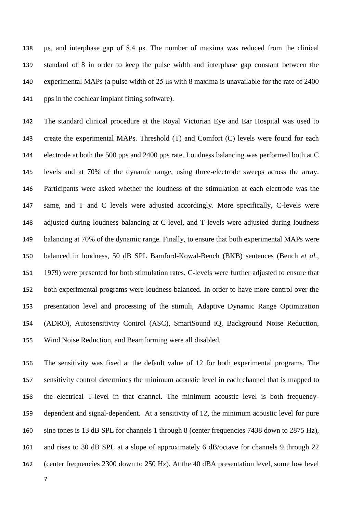μs, and interphase gap of 8.4 μs. The number of maxima was reduced from the clinical standard of 8 in order to keep the pulse width and interphase gap constant between the experimental MAPs (a pulse width of 25 μs with 8 maxima is unavailable for the rate of 2400 pps in the cochlear implant fitting software).

 The standard clinical procedure at the Royal Victorian Eye and Ear Hospital was used to create the experimental MAPs. Threshold (T) and Comfort (C) levels were found for each electrode at both the 500 pps and 2400 pps rate. Loudness balancing was performed both at C levels and at 70% of the dynamic range, using three-electrode sweeps across the array. Participants were asked whether the loudness of the stimulation at each electrode was the same, and T and C levels were adjusted accordingly. More specifically, C-levels were adjusted during loudness balancing at C-level, and T-levels were adjusted during loudness 149 balancing at 70% of the dynamic range. Finally, to ensure that both experimental MAPs were balanced in loudness, 50 dB SPL Bamford-Kowal-Bench (BKB) sentences (Bench *et al.*, 1979) were presented for both stimulation rates. C-levels were further adjusted to ensure that both experimental programs were loudness balanced. In order to have more control over the presentation level and processing of the stimuli, Adaptive Dynamic Range Optimization (ADRO), Autosensitivity Control (ASC), SmartSound iQ, Background Noise Reduction, Wind Noise Reduction, and Beamforming were all disabled.

 The sensitivity was fixed at the default value of 12 for both experimental programs. The sensitivity control determines the minimum acoustic level in each channel that is mapped to the electrical T-level in that channel. The minimum acoustic level is both frequency- dependent and signal-dependent. At a sensitivity of 12, the minimum acoustic level for pure sine tones is 13 dB SPL for channels 1 through 8 (center frequencies 7438 down to 2875 Hz), and rises to 30 dB SPL at a slope of approximately 6 dB/octave for channels 9 through 22 (center frequencies 2300 down to 250 Hz). At the 40 dBA presentation level, some low level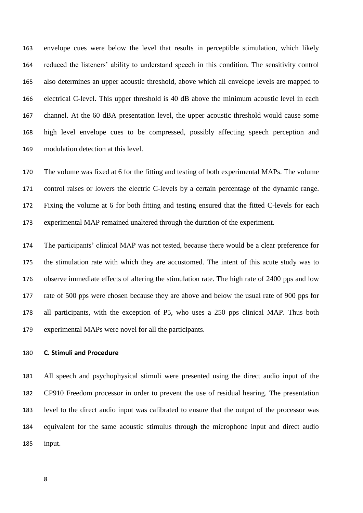envelope cues were below the level that results in perceptible stimulation, which likely reduced the listeners' ability to understand speech in this condition. The sensitivity control also determines an upper acoustic threshold, above which all envelope levels are mapped to electrical C-level. This upper threshold is 40 dB above the minimum acoustic level in each channel. At the 60 dBA presentation level, the upper acoustic threshold would cause some high level envelope cues to be compressed, possibly affecting speech perception and modulation detection at this level.

 The volume was fixed at 6 for the fitting and testing of both experimental MAPs. The volume control raises or lowers the electric C-levels by a certain percentage of the dynamic range. Fixing the volume at 6 for both fitting and testing ensured that the fitted C-levels for each experimental MAP remained unaltered through the duration of the experiment.

 The participants' clinical MAP was not tested, because there would be a clear preference for the stimulation rate with which they are accustomed. The intent of this acute study was to observe immediate effects of altering the stimulation rate. The high rate of 2400 pps and low rate of 500 pps were chosen because they are above and below the usual rate of 900 pps for all participants, with the exception of P5, who uses a 250 pps clinical MAP. Thus both experimental MAPs were novel for all the participants.

# **C. Stimuli and Procedure**

 All speech and psychophysical stimuli were presented using the direct audio input of the CP910 Freedom processor in order to prevent the use of residual hearing. The presentation level to the direct audio input was calibrated to ensure that the output of the processor was equivalent for the same acoustic stimulus through the microphone input and direct audio input.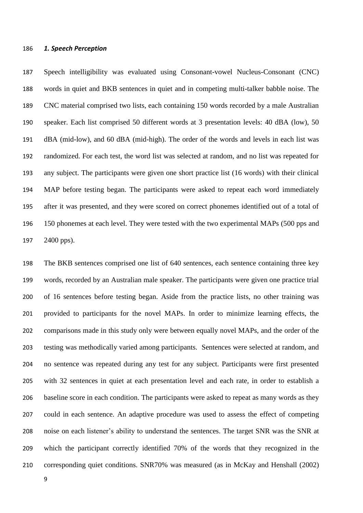# *1. Speech Perception*

 Speech intelligibility was evaluated using Consonant-vowel Nucleus-Consonant (CNC) words in quiet and BKB sentences in quiet and in competing multi-talker babble noise. The CNC material comprised two lists, each containing 150 words recorded by a male Australian speaker. Each list comprised 50 different words at 3 presentation levels: 40 dBA (low), 50 dBA (mid-low), and 60 dBA (mid-high). The order of the words and levels in each list was randomized. For each test, the word list was selected at random, and no list was repeated for any subject. The participants were given one short practice list (16 words) with their clinical MAP before testing began. The participants were asked to repeat each word immediately after it was presented, and they were scored on correct phonemes identified out of a total of 150 phonemes at each level. They were tested with the two experimental MAPs (500 pps and 2400 pps).

 The BKB sentences comprised one list of 640 sentences, each sentence containing three key words, recorded by an Australian male speaker. The participants were given one practice trial of 16 sentences before testing began. Aside from the practice lists, no other training was provided to participants for the novel MAPs. In order to minimize learning effects, the comparisons made in this study only were between equally novel MAPs, and the order of the testing was methodically varied among participants. Sentences were selected at random, and no sentence was repeated during any test for any subject. Participants were first presented with 32 sentences in quiet at each presentation level and each rate, in order to establish a baseline score in each condition. The participants were asked to repeat as many words as they could in each sentence. An adaptive procedure was used to assess the effect of competing noise on each listener's ability to understand the sentences. The target SNR was the SNR at which the participant correctly identified 70% of the words that they recognized in the corresponding quiet conditions. SNR70% was measured (as in McKay and Henshall (2002)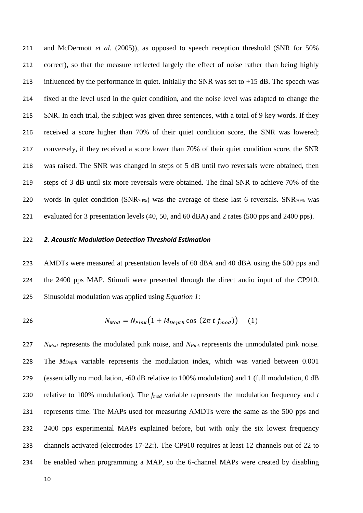and McDermott *et al.* (2005)), as opposed to speech reception threshold (SNR for 50% correct), so that the measure reflected largely the effect of noise rather than being highly 213 influenced by the performance in quiet. Initially the SNR was set to  $+15$  dB. The speech was fixed at the level used in the quiet condition, and the noise level was adapted to change the SNR. In each trial, the subject was given three sentences, with a total of 9 key words. If they received a score higher than 70% of their quiet condition score, the SNR was lowered; conversely, if they received a score lower than 70% of their quiet condition score, the SNR was raised. The SNR was changed in steps of 5 dB until two reversals were obtained, then steps of 3 dB until six more reversals were obtained. The final SNR to achieve 70% of the 220 words in quiet condition (SNR<sub>70%</sub>) was the average of these last 6 reversals. SNR<sub>70%</sub> was evaluated for 3 presentation levels (40, 50, and 60 dBA) and 2 rates (500 pps and 2400 pps).

# *2. Acoustic Modulation Detection Threshold Estimation*

 AMDTs were measured at presentation levels of 60 dBA and 40 dBA using the 500 pps and the 2400 pps MAP. Stimuli were presented through the direct audio input of the CP910. Sinusoidal modulation was applied using *Equation 1*:

$$
N_{Mod} = N_{Pink} \left( 1 + M_{Depth} \cos \left( 2\pi t f_{mod} \right) \right) \tag{1}
$$

 *NMod* represents the modulated pink noise, and *NPink* represents the unmodulated pink noise. The *MDepth* variable represents the modulation index, which was varied between 0.001 (essentially no modulation, -60 dB relative to 100% modulation) and 1 (full modulation, 0 dB relative to 100% modulation). The *fmod* variable represents the modulation frequency and *t*  represents time. The MAPs used for measuring AMDTs were the same as the 500 pps and 232 2400 pps experimental MAPs explained before, but with only the six lowest frequency channels activated (electrodes 17-22:). The CP910 requires at least 12 channels out of 22 to be enabled when programming a MAP, so the 6-channel MAPs were created by disabling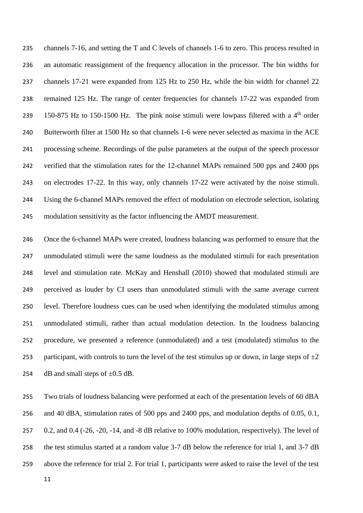channels 7-16, and setting the T and C levels of channels 1-6 to zero. This process resulted in an automatic reassignment of the frequency allocation in the processor. The bin widths for channels 17-21 were expanded from 125 Hz to 250 Hz, while the bin width for channel 22 remained 125 Hz. The range of center frequencies for channels 17-22 was expanded from 239 150-875 Hz to 150-1500 Hz. The pink noise stimuli were lowpass filtered with a  $4<sup>th</sup>$  order Butterworth filter at 1500 Hz so that channels 1-6 were never selected as maxima in the ACE processing scheme. Recordings of the pulse parameters at the output of the speech processor verified that the stimulation rates for the 12-channel MAPs remained 500 pps and 2400 pps on electrodes 17-22. In this way, only channels 17-22 were activated by the noise stimuli. Using the 6-channel MAPs removed the effect of modulation on electrode selection, isolating modulation sensitivity as the factor influencing the AMDT measurement.

 Once the 6-channel MAPs were created, loudness balancing was performed to ensure that the unmodulated stimuli were the same loudness as the modulated stimuli for each presentation level and stimulation rate. [McKay and Henshall \(2010\)](#page-22-0) showed that modulated stimuli are perceived as louder by CI users than unmodulated stimuli with the same average current level. Therefore loudness cues can be used when identifying the modulated stimulus among unmodulated stimuli, rather than actual modulation detection. In the loudness balancing procedure, we presented a reference (unmodulated) and a test (modulated) stimulus to the 253 participant, with controls to turn the level of the test stimulus up or down, in large steps of  $\pm 2$ 254 dB and small steps of  $\pm 0.5$  dB.

 Two trials of loudness balancing were performed at each of the presentation levels of 60 dBA and 40 dBA, stimulation rates of 500 pps and 2400 pps, and modulation depths of 0.05, 0.1, 0.2, and 0.4 (-26, -20, -14, and -8 dB relative to 100% modulation, respectively). The level of the test stimulus started at a random value 3-7 dB below the reference for trial 1, and 3-7 dB above the reference for trial 2. For trial 1, participants were asked to raise the level of the test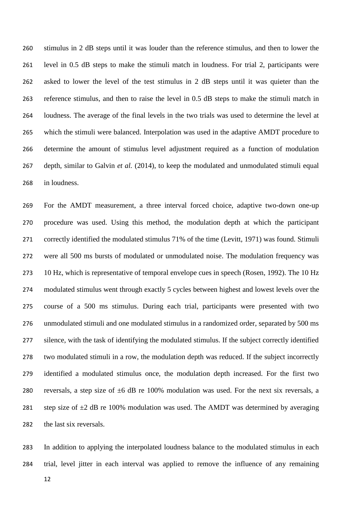stimulus in 2 dB steps until it was louder than the reference stimulus, and then to lower the level in 0.5 dB steps to make the stimuli match in loudness. For trial 2, participants were asked to lower the level of the test stimulus in 2 dB steps until it was quieter than the reference stimulus, and then to raise the level in 0.5 dB steps to make the stimuli match in loudness. The average of the final levels in the two trials was used to determine the level at which the stimuli were balanced. Interpolation was used in the adaptive AMDT procedure to determine the amount of stimulus level adjustment required as a function of modulation depth, similar to [Galvin](#page-21-0) *et al.* (2014), to keep the modulated and unmodulated stimuli equal in loudness.

 For the AMDT measurement, a three interval forced choice, adaptive two-down one-up procedure was used. Using this method, the modulation depth at which the participant correctly identified the modulated stimulus 71% of the time [\(Levitt, 1971\)](#page-22-1) was found. Stimuli were all 500 ms bursts of modulated or unmodulated noise. The modulation frequency was 10 Hz, which is representative of temporal envelope cues in speech (Rosen, 1992). The 10 Hz modulated stimulus went through exactly 5 cycles between highest and lowest levels over the course of a 500 ms stimulus. During each trial, participants were presented with two unmodulated stimuli and one modulated stimulus in a randomized order, separated by 500 ms silence, with the task of identifying the modulated stimulus. If the subject correctly identified two modulated stimuli in a row, the modulation depth was reduced. If the subject incorrectly identified a modulated stimulus once, the modulation depth increased. For the first two 280 reversals, a step size of  $\pm 6$  dB re 100% modulation was used. For the next six reversals, a 281 step size of  $\pm 2$  dB re 100% modulation was used. The AMDT was determined by averaging the last six reversals.

 In addition to applying the interpolated loudness balance to the modulated stimulus in each trial, level jitter in each interval was applied to remove the influence of any remaining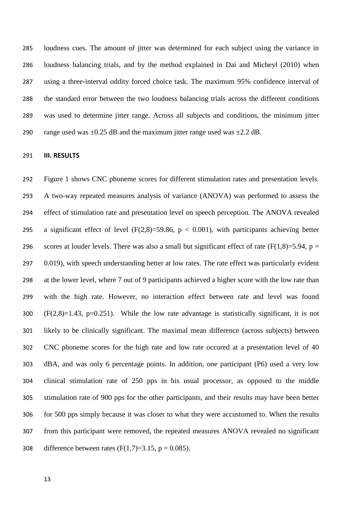loudness cues. The amount of jitter was determined for each subject using the variance in loudness balancing trials, and by the method explained in [Dai and Micheyl \(2010\)](#page-20-0) when using a three-interval oddity forced choice task. The maximum 95% confidence interval of the standard error between the two loudness balancing trials across the different conditions was used to determine jitter range. Across all subjects and conditions, the minimum jitter 290 range used was  $\pm 0.25$  dB and the maximum jitter range used was  $\pm 2.2$  dB.

#### **III. RESULTS**

 Figure 1 shows CNC phoneme scores for different stimulation rates and presentation levels. A two-way repeated measures analysis of variance (ANOVA) was performed to assess the effect of stimulation rate and presentation level on speech perception. The ANOVA revealed 295 a significant effect of level  $(F(2,8)=59.86, p < 0.001)$ , with participants achieving better 296 scores at louder levels. There was also a small but significant effect of rate ( $F(1,8)=5.94$ ,  $p =$ 297 0.019), with speech understanding better at low rates. The rate effect was particularly evident at the lower level, where 7 out of 9 participants achieved a higher score with the low rate than with the high rate. However, no interaction effect between rate and level was found (F(2,8)=1.43, p=0.251). While the low rate advantage is statistically significant, it is not likely to be clinically significant. The maximal mean difference (across subjects) between CNC phoneme scores for the high rate and low rate occured at a presentation level of 40 dBA, and was only 6 percentage points. In addition, one participant (P6) used a very low clinical stimulation rate of 250 pps in his usual processor, as opposed to the middle stimulation rate of 900 pps for the other participants, and their results may have been better for 500 pps simply because it was closer to what they were accustomed to. When the results from this participant were removed, the repeated measures ANOVA revealed no significant 308 difference between rates  $(F(1,7)=3.15, p = 0.085)$ .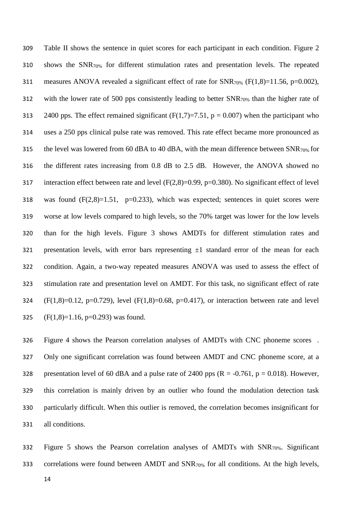Table II shows the sentence in quiet scores for each participant in each condition. Figure 2 shows the SNR70% for different stimulation rates and presentation levels. The repeated 311 measures ANOVA revealed a significant effect of rate for  $SNR_{70\%}$  (F(1,8)=11.56, p=0.002), with the lower rate of 500 pps consistently leading to better SNR70% than the higher rate of 313 2400 pps. The effect remained significant  $(F(1,7)=7.51, p = 0.007)$  when the participant who uses a 250 pps clinical pulse rate was removed. This rate effect became more pronounced as 315 the level was lowered from 60 dBA to 40 dBA, with the mean difference between  $SNR_{70\%}$  for the different rates increasing from 0.8 dB to 2.5 dB. However, the ANOVA showed no interaction effect between rate and level (F(2,8)=0.99, p=0.380). No significant effect of level 318 was found  $(F(2,8)=1.51, p=0.233)$ , which was expected; sentences in quiet scores were worse at low levels compared to high levels, so the 70% target was lower for the low levels than for the high levels. Figure 3 shows AMDTs for different stimulation rates and 321 presentation levels, with error bars representing  $\pm 1$  standard error of the mean for each condition. Again, a two-way repeated measures ANOVA was used to assess the effect of stimulation rate and presentation level on AMDT. For this task, no significant effect of rate 324 (F(1,8)=0.12, p=0.729), level (F(1,8)=0.68, p=0.417), or interaction between rate and level 325 (F(1,8)=1.16, p=0.293) was found.

 Figure 4 shows the Pearson correlation analyses of AMDTs with CNC phoneme scores . Only one significant correlation was found between AMDT and CNC phoneme score, at a 328 presentation level of 60 dBA and a pulse rate of 2400 pps  $(R = -0.761, p = 0.018)$ . However, this correlation is mainly driven by an outlier who found the modulation detection task particularly difficult. When this outlier is removed, the correlation becomes insignificant for all conditions.

 Figure 5 shows the Pearson correlation analyses of AMDTs with SNR70%. Significant 333 correlations were found between AMDT and SNR<sub>70%</sub> for all conditions. At the high levels,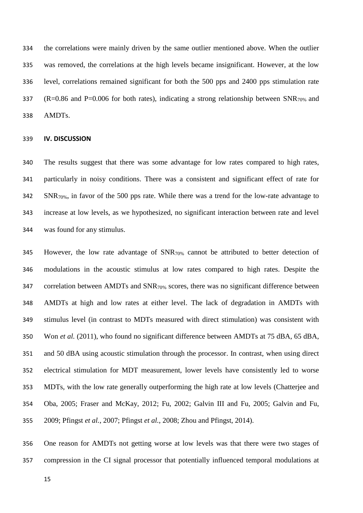the correlations were mainly driven by the same outlier mentioned above. When the outlier was removed, the correlations at the high levels became insignificant. However, at the low level, correlations remained significant for both the 500 pps and 2400 pps stimulation rate 337 (R=0.86 and P=0.006 for both rates), indicating a strong relationship between  $SNR_{70\%}$  and AMDTs.

#### **IV. DISCUSSION**

 The results suggest that there was some advantage for low rates compared to high rates, particularly in noisy conditions. There was a consistent and significant effect of rate for SNR70%, in favor of the 500 pps rate. While there was a trend for the low-rate advantage to increase at low levels, as we hypothesized, no significant interaction between rate and level was found for any stimulus.

345 However, the low rate advantage of  $SNR_{70\%}$  cannot be attributed to better detection of modulations in the acoustic stimulus at low rates compared to high rates. Despite the 347 correlation between AMDTs and SNR<sub>70%</sub> scores, there was no significant difference between AMDTs at high and low rates at either level. The lack of degradation in AMDTs with stimulus level (in contrast to MDTs measured with direct stimulation) was consistent with Won *et al.* [\(2011\),](#page-24-0) who found no significant difference between AMDTs at 75 dBA, 65 dBA, and 50 dBA using acoustic stimulation through the processor. In contrast, when using direct electrical stimulation for MDT measurement, lower levels have consistently led to worse MDTs, with the low rate generally outperforming the high rate at low levels [\(Chatterjee and](#page-20-1)  [Oba, 2005;](#page-20-1) [Fraser and McKay, 2012;](#page-20-2) [Fu, 2002;](#page-21-1) [Galvin III and Fu, 2005;](#page-21-2) [Galvin and Fu,](#page-21-3)  [2009;](#page-21-3) [Pfingst](#page-23-0) *et al.*, 2007; [Pfingst](#page-23-1) *et al.*, 2008; [Zhou and Pfingst, 2014\)](#page-24-1).

 One reason for AMDTs not getting worse at low levels was that there were two stages of compression in the CI signal processor that potentially influenced temporal modulations at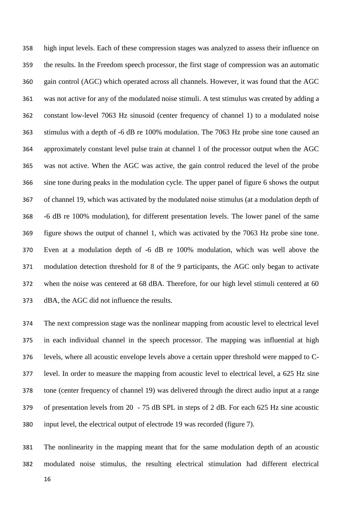high input levels. Each of these compression stages was analyzed to assess their influence on the results. In the Freedom speech processor, the first stage of compression was an automatic gain control (AGC) which operated across all channels. However, it was found that the AGC was not active for any of the modulated noise stimuli. A test stimulus was created by adding a constant low-level 7063 Hz sinusoid (center frequency of channel 1) to a modulated noise stimulus with a depth of -6 dB re 100% modulation. The 7063 Hz probe sine tone caused an approximately constant level pulse train at channel 1 of the processor output when the AGC was not active. When the AGC was active, the gain control reduced the level of the probe sine tone during peaks in the modulation cycle. The upper panel of figure 6 shows the output of channel 19, which was activated by the modulated noise stimulus (at a modulation depth of -6 dB re 100% modulation), for different presentation levels. The lower panel of the same figure shows the output of channel 1, which was activated by the 7063 Hz probe sine tone. Even at a modulation depth of -6 dB re 100% modulation, which was well above the modulation detection threshold for 8 of the 9 participants, the AGC only began to activate when the noise was centered at 68 dBA. Therefore, for our high level stimuli centered at 60 dBA, the AGC did not influence the results.

 The next compression stage was the nonlinear mapping from acoustic level to electrical level in each individual channel in the speech processor. The mapping was influential at high levels, where all acoustic envelope levels above a certain upper threshold were mapped to C- level. In order to measure the mapping from acoustic level to electrical level, a 625 Hz sine tone (center frequency of channel 19) was delivered through the direct audio input at a range of presentation levels from 20 - 75 dB SPL in steps of 2 dB. For each 625 Hz sine acoustic input level, the electrical output of electrode 19 was recorded (figure 7).

 The nonlinearity in the mapping meant that for the same modulation depth of an acoustic modulated noise stimulus, the resulting electrical stimulation had different electrical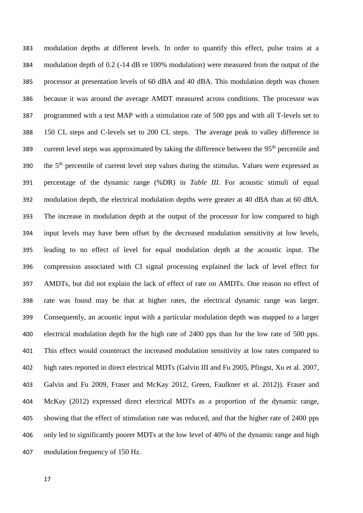modulation depths at different levels. In order to quantify this effect, pulse trains at a modulation depth of 0.2 (-14 dB re 100% modulation) were measured from the output of the processor at presentation levels of 60 dBA and 40 dBA. This modulation depth was chosen because it was around the average AMDT measured across conditions. The processor was programmed with a test MAP with a stimulation rate of 500 pps and with all T-levels set to 150 CL steps and C-levels set to 200 CL steps. The average peak to valley difference in 389 current level steps was approximated by taking the difference between the  $95<sup>th</sup>$  percentile and the  $5<sup>th</sup>$  percentile of current level step values during the stimulus. Values were expressed as percentage of the dynamic range (%DR) in *Table III*. For acoustic stimuli of equal modulation depth, the electrical modulation depths were greater at 40 dBA than at 60 dBA. The increase in modulation depth at the output of the processor for low compared to high input levels may have been offset by the decreased modulation sensitivity at low levels, leading to no effect of level for equal modulation depth at the acoustic input. The compression associated with CI signal processing explained the lack of level effect for AMDTs, but did not explain the lack of effect of rate on AMDTs. One reason no effect of rate was found may be that at higher rates, the electrical dynamic range was larger. Consequently, an acoustic input with a particular modulation depth was mapped to a larger electrical modulation depth for the high rate of 2400 pps than for the low rate of 500 pps. This effect would counteract the increased modulation sensitivity at low rates compared to high rates reported in direct electrical MDTs [\(Galvin III and Fu 2005,](#page-21-2) [Pfingst, Xu et al. 2007,](#page-23-0) [Galvin and Fu 2009,](#page-21-3) [Fraser and McKay 2012,](#page-20-2) [Green, Faulkner et al. 2012\)](#page-21-4)). [Fraser and](#page-20-2)  McKay (2012) expressed direct electrical MDTs as a proportion of the dynamic range, showing that the effect of stimulation rate was reduced, and that the higher rate of 2400 pps only led to significantly poorer MDTs at the low level of 40% of the dynamic range and high modulation frequency of 150 Hz.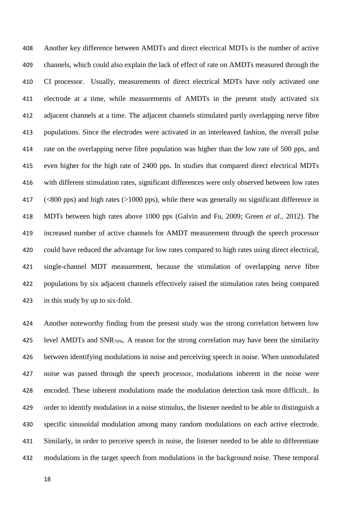Another key difference between AMDTs and direct electrical MDTs is the number of active channels, which could also explain the lack of effect of rate on AMDTs measured through the CI processor. Usually, measurements of direct electrical MDTs have only activated one electrode at a time, while measurements of AMDTs in the present study activated six adjacent channels at a time. The adjacent channels stimulated partly overlapping nerve fibre populations. Since the electrodes were activated in an interleaved fashion, the overall pulse rate on the overlapping nerve fibre population was higher than the low rate of 500 pps, and even higher for the high rate of 2400 pps. In studies that compared direct electrical MDTs with different stimulation rates, significant differences were only observed between low rates (<800 pps) and high rates (>1000 pps), while there was generally no significant difference in MDTs between high rates above 1000 pps [\(Galvin and Fu, 2009;](#page-21-3) Green *et al.*[, 2012\)](#page-21-4). The increased number of active channels for AMDT measurement through the speech processor could have reduced the advantage for low rates compared to high rates using direct electrical, single-channel MDT measurement, because the stimulation of overlapping nerve fibre populations by six adjacent channels effectively raised the stimulation rates being compared in this study by up to six-fold.

 Another noteworthy finding from the present study was the strong correlation between low 425 level AMDTs and SNR<sub>70%</sub>. A reason for the strong correlation may have been the similarity between identifying modulations in noise and perceiving speech in noise. When unmodulated noise was passed through the speech processor, modulations inherent in the noise were encoded. These inherent modulations made the modulation detection task more difficult.. In order to identify modulation in a noise stimulus, the listener needed to be able to distinguish a specific sinusoidal modulation among many random modulations on each active electrode. Similarly, in order to perceive speech in noise, the listener needed to be able to differentiate modulations in the target speech from modulations in the background noise. These temporal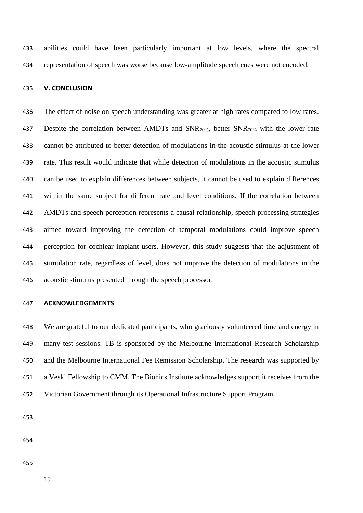abilities could have been particularly important at low levels, where the spectral representation of speech was worse because low-amplitude speech cues were not encoded.

#### **V. CONCLUSION**

 The effect of noise on speech understanding was greater at high rates compared to low rates. 437 Despite the correlation between AMDTs and SNR<sub>70%</sub>, better SNR<sub>70%</sub> with the lower rate cannot be attributed to better detection of modulations in the acoustic stimulus at the lower rate. This result would indicate that while detection of modulations in the acoustic stimulus can be used to explain differences between subjects, it cannot be used to explain differences within the same subject for different rate and level conditions. If the correlation between AMDTs and speech perception represents a causal relationship, speech processing strategies aimed toward improving the detection of temporal modulations could improve speech perception for cochlear implant users. However, this study suggests that the adjustment of stimulation rate, regardless of level, does not improve the detection of modulations in the acoustic stimulus presented through the speech processor.

# **ACKNOWLEDGEMENTS**

 We are grateful to our dedicated participants, who graciously volunteered time and energy in many test sessions. TB is sponsored by the Melbourne International Research Scholarship and the Melbourne International Fee Remission Scholarship. The research was supported by a Veski Fellowship to CMM. The Bionics Institute acknowledges support it receives from the Victorian Government through its Operational Infrastructure Support Program.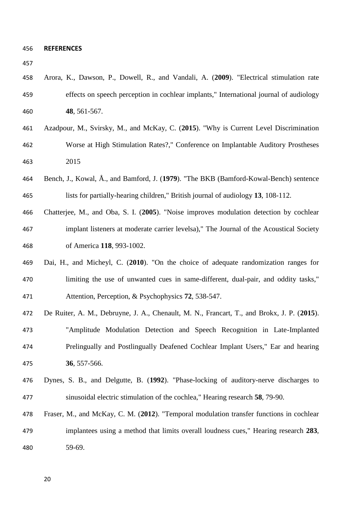| ۰.<br>w<br>v |  |
|--------------|--|
|--------------|--|

- Arora, K., Dawson, P., Dowell, R., and Vandali, A. (**2009**). "Electrical stimulation rate effects on speech perception in cochlear implants," International journal of audiology **48**, 561-567.
- Azadpour, M., Svirsky, M., and McKay, C. (**2015**). "Why is Current Level Discrimination Worse at High Stimulation Rates?," Conference on Implantable Auditory Prostheses 2015
- Bench, J., Kowal, Å., and Bamford, J. (**1979**). "The BKB (Bamford-Kowal-Bench) sentence lists for partially-hearing children," British journal of audiology **13**, 108-112.
- <span id="page-20-1"></span> Chatterjee, M., and Oba, S. I. (**2005**). "Noise improves modulation detection by cochlear implant listeners at moderate carrier levelsa)," The Journal of the Acoustical Society of America **118**, 993-1002.
- <span id="page-20-0"></span> Dai, H., and Micheyl, C. (**2010**). "On the choice of adequate randomization ranges for limiting the use of unwanted cues in same-different, dual-pair, and oddity tasks," Attention, Perception, & Psychophysics **72**, 538-547.
- De Ruiter, A. M., Debruyne, J. A., Chenault, M. N., Francart, T., and Brokx, J. P. (**2015**). "Amplitude Modulation Detection and Speech Recognition in Late-Implanted Prelingually and Postlingually Deafened Cochlear Implant Users," Ear and hearing **36**, 557-566.
- Dynes, S. B., and Delgutte, B. (**1992**). "Phase-locking of auditory-nerve discharges to sinusoidal electric stimulation of the cochlea," Hearing research **58**, 79-90.
- <span id="page-20-2"></span> Fraser, M., and McKay, C. M. (**2012**). "Temporal modulation transfer functions in cochlear implantees using a method that limits overall loudness cues," Hearing research **283**, 59-69.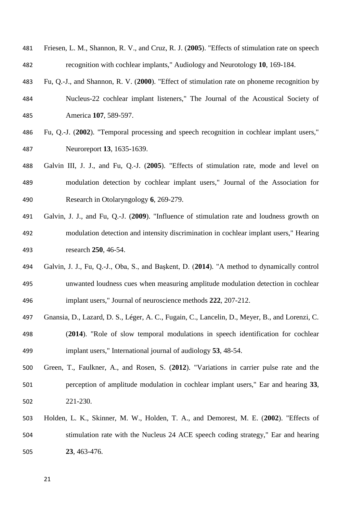- Friesen, L. M., Shannon, R. V., and Cruz, R. J. (**2005**). "Effects of stimulation rate on speech recognition with cochlear implants," Audiology and Neurotology **10**, 169-184.
- Fu, Q.-J., and Shannon, R. V. (**2000**). "Effect of stimulation rate on phoneme recognition by Nucleus-22 cochlear implant listeners," The Journal of the Acoustical Society of America **107**, 589-597.
- <span id="page-21-1"></span> Fu, Q.-J. (**2002**). "Temporal processing and speech recognition in cochlear implant users," Neuroreport **13**, 1635-1639.
- <span id="page-21-2"></span> Galvin III, J. J., and Fu, Q.-J. (**2005**). "Effects of stimulation rate, mode and level on modulation detection by cochlear implant users," Journal of the Association for Research in Otolaryngology **6**, 269-279.
- <span id="page-21-3"></span> Galvin, J. J., and Fu, Q.-J. (**2009**). "Influence of stimulation rate and loudness growth on modulation detection and intensity discrimination in cochlear implant users," Hearing research **250**, 46-54.
- <span id="page-21-0"></span> Galvin, J. J., Fu, Q.-J., Oba, S., and Başkent, D. (**2014**). "A method to dynamically control unwanted loudness cues when measuring amplitude modulation detection in cochlear implant users," Journal of neuroscience methods **222**, 207-212.
- Gnansia, D., Lazard, D. S., Léger, A. C., Fugain, C., Lancelin, D., Meyer, B., and Lorenzi, C.
- (**2014**). "Role of slow temporal modulations in speech identification for cochlear implant users," International journal of audiology **53**, 48-54.
- <span id="page-21-4"></span> Green, T., Faulkner, A., and Rosen, S. (**2012**). "Variations in carrier pulse rate and the perception of amplitude modulation in cochlear implant users," Ear and hearing **33**, 221-230.
- Holden, L. K., Skinner, M. W., Holden, T. A., and Demorest, M. E. (**2002**). "Effects of stimulation rate with the Nucleus 24 ACE speech coding strategy," Ear and hearing **23**, 463-476.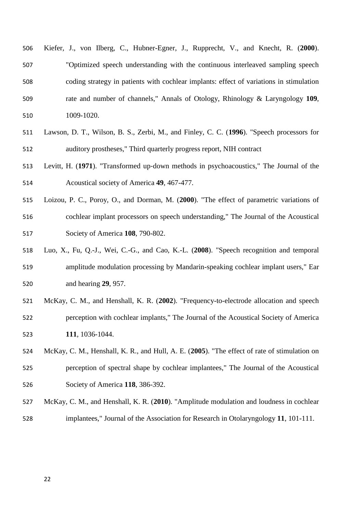- Kiefer, J., von Ilberg, C., Hubner-Egner, J., Rupprecht, V., and Knecht, R. (**2000**). "Optimized speech understanding with the continuous interleaved sampling speech coding strategy in patients with cochlear implants: effect of variations in stimulation rate and number of channels," Annals of Otology, Rhinology & Laryngology **109**, 1009-1020.
- Lawson, D. T., Wilson, B. S., Zerbi, M., and Finley, C. C. (**1996**). "Speech processors for auditory prostheses," Third quarterly progress report, NIH contract
- <span id="page-22-1"></span> Levitt, H. (**1971**). "Transformed up‐down methods in psychoacoustics," The Journal of the Acoustical society of America **49**, 467-477.
- Loizou, P. C., Poroy, O., and Dorman, M. (**2000**). "The effect of parametric variations of cochlear implant processors on speech understanding," The Journal of the Acoustical Society of America **108**, 790-802.
- Luo, X., Fu, Q.-J., Wei, C.-G., and Cao, K.-L. (**2008**). "Speech recognition and temporal amplitude modulation processing by Mandarin-speaking cochlear implant users," Ear and hearing **29**, 957.
- McKay, C. M., and Henshall, K. R. (**2002**). "Frequency-to-electrode allocation and speech perception with cochlear implants," The Journal of the Acoustical Society of America **111**, 1036-1044.
- McKay, C. M., Henshall, K. R., and Hull, A. E. (**2005**). "The effect of rate of stimulation on perception of spectral shape by cochlear implantees," The Journal of the Acoustical Society of America **118**, 386-392.
- <span id="page-22-0"></span> McKay, C. M., and Henshall, K. R. (**2010**). "Amplitude modulation and loudness in cochlear implantees," Journal of the Association for Research in Otolaryngology **11**, 101-111.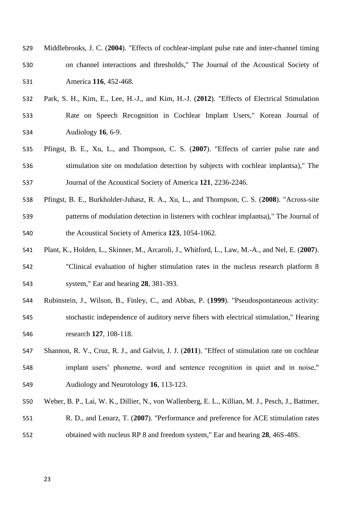- Middlebrooks, J. C. (**2004**). "Effects of cochlear-implant pulse rate and inter-channel timing on channel interactions and thresholds," The Journal of the Acoustical Society of America **116**, 452-468.
- Park, S. H., Kim, E., Lee, H.-J., and Kim, H.-J. (**2012**). "Effects of Electrical Stimulation Rate on Speech Recognition in Cochlear Implant Users," Korean Journal of Audiology **16**, 6-9.
- <span id="page-23-0"></span> Pfingst, B. E., Xu, L., and Thompson, C. S. (**2007**). "Effects of carrier pulse rate and stimulation site on modulation detection by subjects with cochlear implantsa)," The Journal of the Acoustical Society of America **121**, 2236-2246.
- <span id="page-23-1"></span> Pfingst, B. E., Burkholder-Juhasz, R. A., Xu, L., and Thompson, C. S. (**2008**). "Across-site patterns of modulation detection in listeners with cochlear implantsa)," The Journal of the Acoustical Society of America **123**, 1054-1062.
- Plant, K., Holden, L., Skinner, M., Arcaroli, J., Whitford, L., Law, M.-A., and Nel, E. (**2007**). "Clinical evaluation of higher stimulation rates in the nucleus research platform 8 system," Ear and hearing **28**, 381-393.
- Rubinstein, J., Wilson, B., Finley, C., and Abbas, P. (**1999**). "Pseudospontaneous activity: stochastic independence of auditory nerve fibers with electrical stimulation," Hearing research **127**, 108-118.
- Shannon, R. V., Cruz, R. J., and Galvin, J. J. (**2011**). "Effect of stimulation rate on cochlear implant users' phoneme, word and sentence recognition in quiet and in noise," Audiology and Neurotology **16**, 113-123.
- Weber, B. P., Lai, W. K., Dillier, N., von Wallenberg, E. L., Killian, M. J., Pesch, J., Battmer,

R. D., and Lenarz, T. (**2007**). "Performance and preference for ACE stimulation rates

obtained with nucleus RP 8 and freedom system," Ear and hearing **28**, 46S-48S.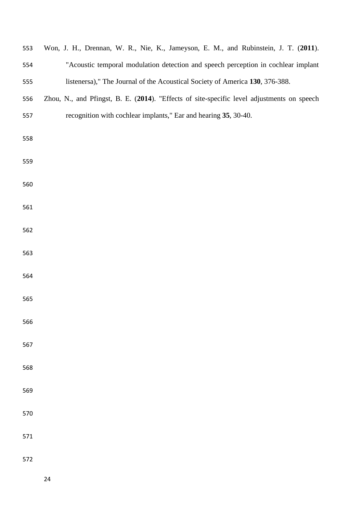<span id="page-24-1"></span><span id="page-24-0"></span>

| 553 | Won, J. H., Drennan, W. R., Nie, K., Jameyson, E. M., and Rubinstein, J. T. (2011).        |  |  |  |  |
|-----|--------------------------------------------------------------------------------------------|--|--|--|--|
| 554 | "Acoustic temporal modulation detection and speech perception in cochlear implant          |  |  |  |  |
| 555 | listenersa)," The Journal of the Acoustical Society of America 130, 376-388.               |  |  |  |  |
| 556 | Zhou, N., and Pfingst, B. E. (2014). "Effects of site-specific level adjustments on speech |  |  |  |  |
| 557 | recognition with cochlear implants," Ear and hearing 35, 30-40.                            |  |  |  |  |
| 558 |                                                                                            |  |  |  |  |
| 559 |                                                                                            |  |  |  |  |
| 560 |                                                                                            |  |  |  |  |
| 561 |                                                                                            |  |  |  |  |
| 562 |                                                                                            |  |  |  |  |
| 563 |                                                                                            |  |  |  |  |
| 564 |                                                                                            |  |  |  |  |
| 565 |                                                                                            |  |  |  |  |
| 566 |                                                                                            |  |  |  |  |
| 567 |                                                                                            |  |  |  |  |
| 568 |                                                                                            |  |  |  |  |
| 569 |                                                                                            |  |  |  |  |
| 570 |                                                                                            |  |  |  |  |
| 571 |                                                                                            |  |  |  |  |
| 572 |                                                                                            |  |  |  |  |
|     | 24                                                                                         |  |  |  |  |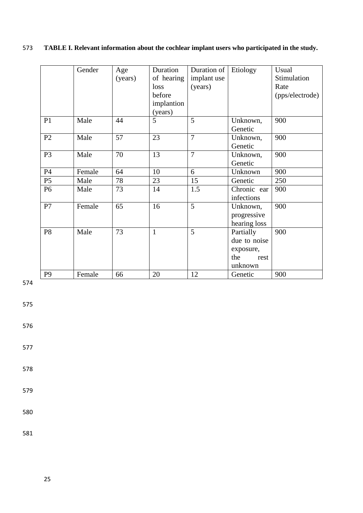# 573 **TABLE I. Relevant information about the cochlear implant users who participated in the study.**

|                | Gender | Age     | Duration     | Duration of    | Etiology     | Usual           |
|----------------|--------|---------|--------------|----------------|--------------|-----------------|
|                |        | (years) | of hearing   | implant use    |              | Stimulation     |
|                |        |         | loss         | (years)        |              | Rate            |
|                |        |         | before       |                |              | (pps/electrode) |
|                |        |         | implantion   |                |              |                 |
|                |        |         | (years)      |                |              |                 |
| P <sub>1</sub> | Male   | 44      | 5            | 5              | Unknown,     | 900             |
|                |        |         |              |                | Genetic      |                 |
| P <sub>2</sub> | Male   | 57      | 23           | $\overline{7}$ | Unknown,     | 900             |
|                |        |         |              |                | Genetic      |                 |
| P <sub>3</sub> | Male   | 70      | 13           | $\overline{7}$ | Unknown,     | 900             |
|                |        |         |              |                | Genetic      |                 |
| P4             | Female | 64      | 10           | 6              | Unknown      | 900             |
| P <sub>5</sub> | Male   | 78      | 23           | 15             | Genetic      | 250             |
| P <sub>6</sub> | Male   | 73      | 14           | 1.5            | Chronic ear  | 900             |
|                |        |         |              |                | infections   |                 |
| P7             | Female | 65      | 16           | 5              | Unknown,     | 900             |
|                |        |         |              |                | progressive  |                 |
|                |        |         |              |                | hearing loss |                 |
| P <sub>8</sub> | Male   | 73      | $\mathbf{1}$ | 5              | Partially    | 900             |
|                |        |         |              |                | due to noise |                 |
|                |        |         |              |                | exposure,    |                 |
|                |        |         |              |                | the<br>rest  |                 |
|                |        |         |              |                | unknown      |                 |
| P <sub>9</sub> | Female | 66      | 20           | 12             | Genetic      | 900             |

574

575

576

577

578

579

580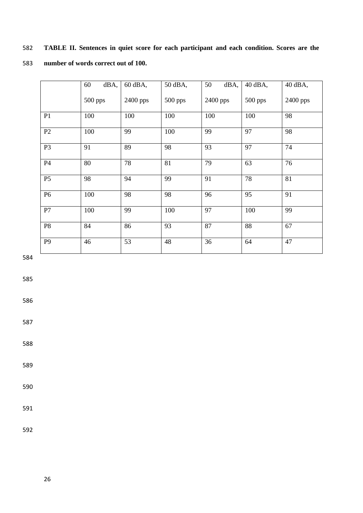# 582 **TABLE II. Sentences in quiet score for each participant and each condition. Scores are the**  583 **number of words correct out of 100.**

|                | dBA,<br>60 | 60 dBA,    | 50 dBA, | 50<br>dBA, | 40 dBA, | 40 dBA,  |
|----------------|------------|------------|---------|------------|---------|----------|
|                | 500 pps    | $2400$ pps | 500 pps | 2400 pps   | 500 pps | 2400 pps |
| P <sub>1</sub> | 100        | 100        | 100     | 100        | 100     | 98       |
| P2             | 100        | 99         | 100     | 99         | 97      | 98       |
| P <sub>3</sub> | 91         | 89         | 98      | 93         | 97      | 74       |
| P4             | 80         | 78         | 81      | 79         | 63      | 76       |
| P <sub>5</sub> | 98         | 94         | 99      | 91         | 78      | 81       |
| P <sub>6</sub> | 100        | 98         | 98      | 96         | 95      | 91       |
| P7             | 100        | 99         | 100     | 97         | 100     | 99       |
| P <sub>8</sub> | 84         | 86         | 93      | 87         | 88      | 67       |
| P <sub>9</sub> | 46         | 53         | 48      | 36         | 64      | 47       |

584

585

586

587

588

589

590

591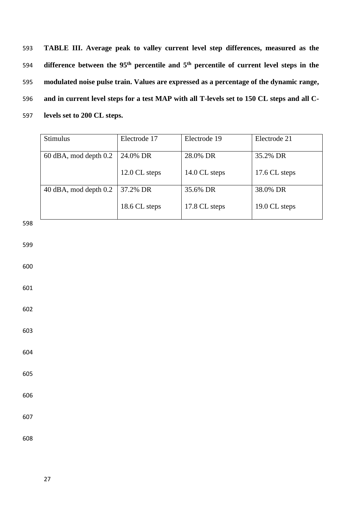**TABLE III. Average peak to valley current level step differences, measured as the difference between the 95<sup>th</sup> percentile and 5<sup>th</sup> percentile of current level steps in the modulated noise pulse train. Values are expressed as a percentage of the dynamic range, and in current level steps for a test MAP with all T-levels set to 150 CL steps and all C-levels set to 200 CL steps.**

| <b>Stimulus</b>           | Electrode 17  | Electrode 19  | Electrode 21  |
|---------------------------|---------------|---------------|---------------|
| $60$ dBA, mod depth $0.2$ | 24.0% DR      | 28.0% DR      | 35.2% DR      |
|                           | 12.0 CL steps | 14.0 CL steps | 17.6 CL steps |
| 40 dBA, mod depth 0.2     | 37.2% DR      | 35.6% DR      | 38.0% DR      |
|                           | 18.6 CL steps | 17.8 CL steps | 19.0 CL steps |

598

599

600

601

602

603

604

605

606

607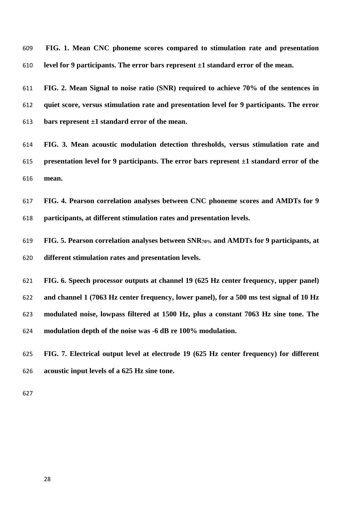**FIG. 1. Mean CNC phoneme scores compared to stimulation rate and presentation level for 9 participants. The error bars represent ±1 standard error of the mean.**

 **FIG. 2. Mean Signal to noise ratio (SNR) required to achieve 70% of the sentences in quiet score, versus stimulation rate and presentation level for 9 participants. The error bars represent ±1 standard error of the mean.**

 **FIG. 3. Mean acoustic modulation detection thresholds, versus stimulation rate and presentation level for 9 participants. The error bars represent ±1 standard error of the mean.**

 **FIG. 4. Pearson correlation analyses between CNC phoneme scores and AMDTs for 9 participants, at different stimulation rates and presentation levels.**

 **FIG. 5. Pearson correlation analyses between SNR70% and AMDTs for 9 participants, at different stimulation rates and presentation levels.**

 **FIG. 6. Speech processor outputs at channel 19 (625 Hz center frequency, upper panel) and channel 1 (7063 Hz center frequency, lower panel), for a 500 ms test signal of 10 Hz modulated noise, lowpass filtered at 1500 Hz, plus a constant 7063 Hz sine tone. The modulation depth of the noise was -6 dB re 100% modulation.** 

 **FIG. 7. Electrical output level at electrode 19 (625 Hz center frequency) for different acoustic input levels of a 625 Hz sine tone.**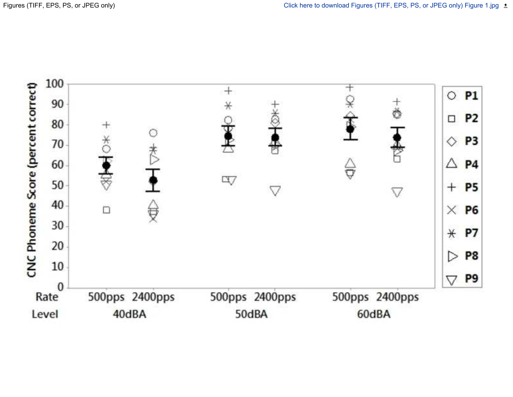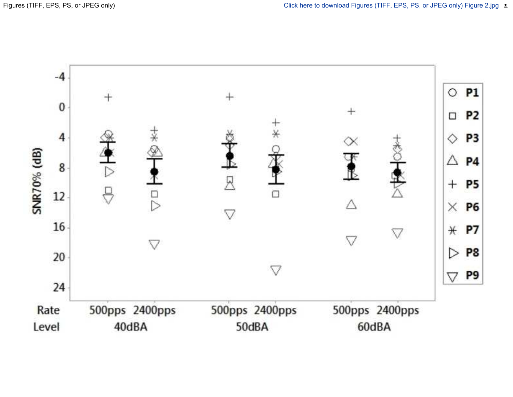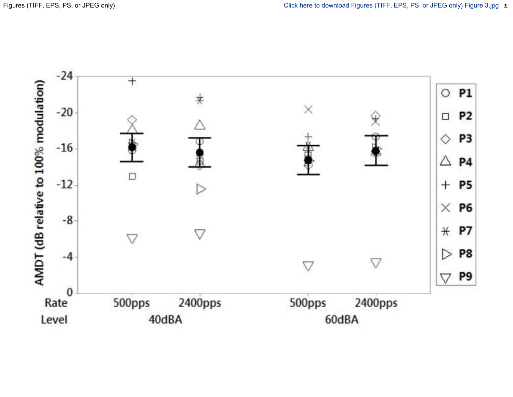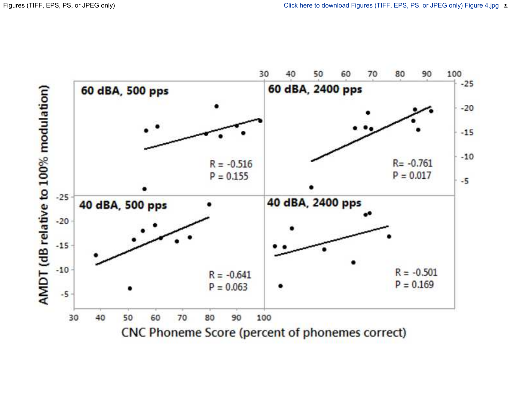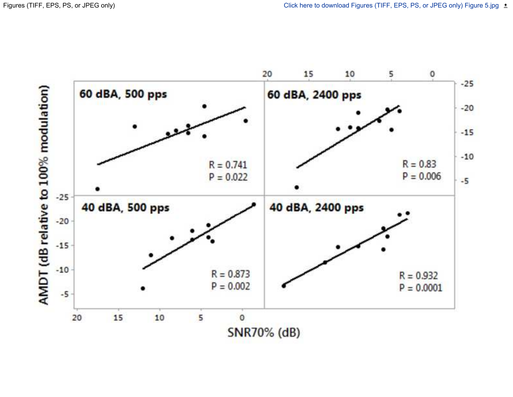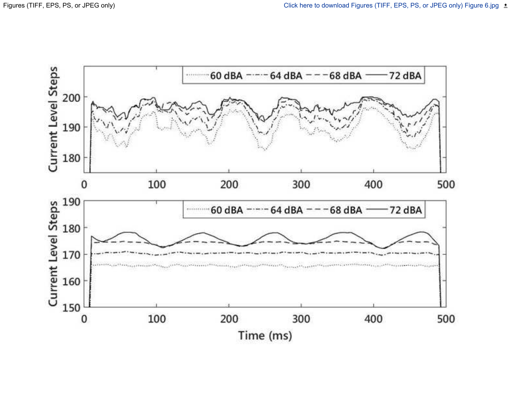